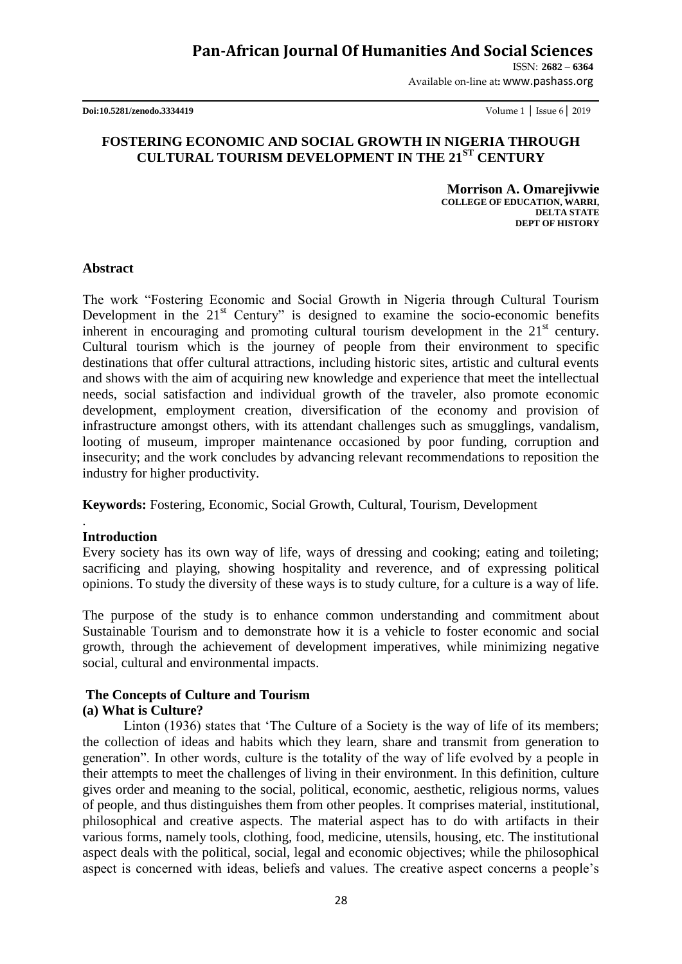ISSN: **2682 – 6364**

Available on-line at**:** www.pashass.org

**Doi:10.5281/zenodo.3334419** Volume 1 │ Issue 6│ 2019

### **FOSTERING ECONOMIC AND SOCIAL GROWTH IN NIGERIA THROUGH CULTURAL TOURISM DEVELOPMENT IN THE 21ST CENTURY**

 **Morrison A. Omarejivwie COLLEGE OF EDUCATION, WARRI, DELTA STATE DEPT OF HISTORY**

#### **Abstract**

The work "Fostering Economic and Social Growth in Nigeria through Cultural Tourism Development in the  $21<sup>st</sup>$  Century" is designed to examine the socio-economic benefits inherent in encouraging and promoting cultural tourism development in the  $21<sup>st</sup>$  century. Cultural tourism which is the journey of people from their environment to specific destinations that offer cultural attractions, including historic sites, artistic and cultural events and shows with the aim of acquiring new knowledge and experience that meet the intellectual needs, social satisfaction and individual growth of the traveler, also promote economic development, employment creation, diversification of the economy and provision of infrastructure amongst others, with its attendant challenges such as smugglings, vandalism, looting of museum, improper maintenance occasioned by poor funding, corruption and insecurity; and the work concludes by advancing relevant recommendations to reposition the industry for higher productivity.

**Keywords:** Fostering, Economic, Social Growth, Cultural, Tourism, Development

### **Introduction**

.

Every society has its own way of life, ways of dressing and cooking; eating and toileting; sacrificing and playing, showing hospitality and reverence, and of expressing political opinions. To study the diversity of these ways is to study culture, for a culture is a way of life.

The purpose of the study is to enhance common understanding and commitment about Sustainable Tourism and to demonstrate how it is a vehicle to foster economic and social growth, through the achievement of development imperatives, while minimizing negative social, cultural and environmental impacts.

#### **The Concepts of Culture and Tourism (a) What is Culture?**

Linton (1936) states that "The Culture of a Society is the way of life of its members; the collection of ideas and habits which they learn, share and transmit from generation to generation". In other words, culture is the totality of the way of life evolved by a people in their attempts to meet the challenges of living in their environment. In this definition, culture gives order and meaning to the social, political, economic, aesthetic, religious norms, values of people, and thus distinguishes them from other peoples. It comprises material, institutional, philosophical and creative aspects. The material aspect has to do with artifacts in their various forms, namely tools, clothing, food, medicine, utensils, housing, etc. The institutional aspect deals with the political, social, legal and economic objectives; while the philosophical aspect is concerned with ideas, beliefs and values. The creative aspect concerns a people"s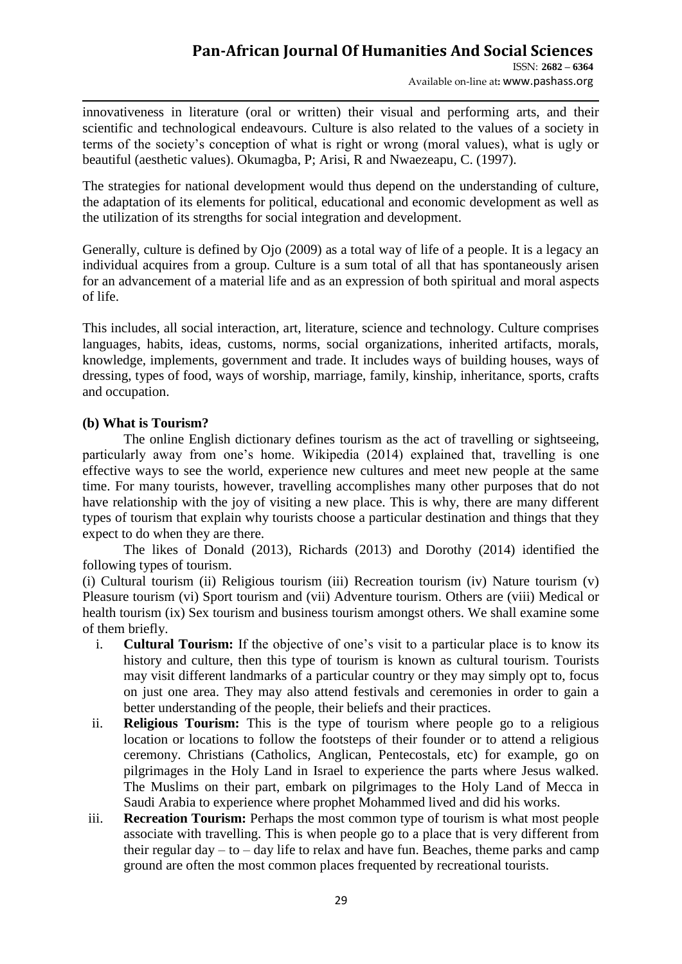Available on-line at**:** www.pashass.org

innovativeness in literature (oral or written) their visual and performing arts, and their scientific and technological endeavours. Culture is also related to the values of a society in terms of the society"s conception of what is right or wrong (moral values), what is ugly or beautiful (aesthetic values). Okumagba, P; Arisi, R and Nwaezeapu, C. (1997).

The strategies for national development would thus depend on the understanding of culture, the adaptation of its elements for political, educational and economic development as well as the utilization of its strengths for social integration and development.

Generally, culture is defined by Ojo (2009) as a total way of life of a people. It is a legacy an individual acquires from a group. Culture is a sum total of all that has spontaneously arisen for an advancement of a material life and as an expression of both spiritual and moral aspects of life.

This includes, all social interaction, art, literature, science and technology. Culture comprises languages, habits, ideas, customs, norms, social organizations, inherited artifacts, morals, knowledge, implements, government and trade. It includes ways of building houses, ways of dressing, types of food, ways of worship, marriage, family, kinship, inheritance, sports, crafts and occupation.

### **(b) What is Tourism?**

The online English dictionary defines tourism as the act of travelling or sightseeing, particularly away from one's home. Wikipedia (2014) explained that, travelling is one effective ways to see the world, experience new cultures and meet new people at the same time. For many tourists, however, travelling accomplishes many other purposes that do not have relationship with the joy of visiting a new place. This is why, there are many different types of tourism that explain why tourists choose a particular destination and things that they expect to do when they are there.

The likes of Donald (2013), Richards (2013) and Dorothy (2014) identified the following types of tourism.

(i) Cultural tourism (ii) Religious tourism (iii) Recreation tourism (iv) Nature tourism (v) Pleasure tourism (vi) Sport tourism and (vii) Adventure tourism. Others are (viii) Medical or health tourism (ix) Sex tourism and business tourism amongst others. We shall examine some of them briefly.

- i. **Cultural Tourism:** If the objective of one's visit to a particular place is to know its history and culture, then this type of tourism is known as cultural tourism. Tourists may visit different landmarks of a particular country or they may simply opt to, focus on just one area. They may also attend festivals and ceremonies in order to gain a better understanding of the people, their beliefs and their practices.
- ii. **Religious Tourism:** This is the type of tourism where people go to a religious location or locations to follow the footsteps of their founder or to attend a religious ceremony. Christians (Catholics, Anglican, Pentecostals, etc) for example, go on pilgrimages in the Holy Land in Israel to experience the parts where Jesus walked. The Muslims on their part, embark on pilgrimages to the Holy Land of Mecca in Saudi Arabia to experience where prophet Mohammed lived and did his works.
- iii. **Recreation Tourism:** Perhaps the most common type of tourism is what most people associate with travelling. This is when people go to a place that is very different from their regular day  $-$  to  $-$  day life to relax and have fun. Beaches, theme parks and camp ground are often the most common places frequented by recreational tourists.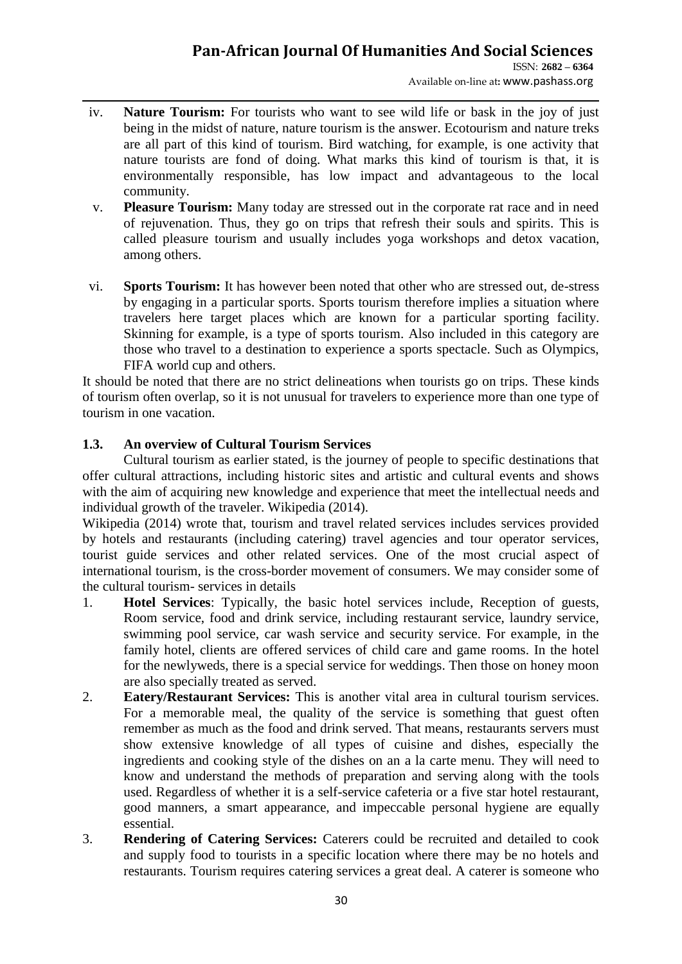Available on-line at**:** www.pashass.org

- iv. **Nature Tourism:** For tourists who want to see wild life or bask in the joy of just being in the midst of nature, nature tourism is the answer. Ecotourism and nature treks are all part of this kind of tourism. Bird watching, for example, is one activity that nature tourists are fond of doing. What marks this kind of tourism is that, it is environmentally responsible, has low impact and advantageous to the local community.
- v. **Pleasure Tourism:** Many today are stressed out in the corporate rat race and in need of rejuvenation. Thus, they go on trips that refresh their souls and spirits. This is called pleasure tourism and usually includes yoga workshops and detox vacation, among others.
- vi. **Sports Tourism:** It has however been noted that other who are stressed out, de-stress by engaging in a particular sports. Sports tourism therefore implies a situation where travelers here target places which are known for a particular sporting facility. Skinning for example, is a type of sports tourism. Also included in this category are those who travel to a destination to experience a sports spectacle. Such as Olympics, FIFA world cup and others.

It should be noted that there are no strict delineations when tourists go on trips. These kinds of tourism often overlap, so it is not unusual for travelers to experience more than one type of tourism in one vacation.

## **1.3. An overview of Cultural Tourism Services**

Cultural tourism as earlier stated, is the journey of people to specific destinations that offer cultural attractions, including historic sites and artistic and cultural events and shows with the aim of acquiring new knowledge and experience that meet the intellectual needs and individual growth of the traveler. Wikipedia (2014).

Wikipedia (2014) wrote that, tourism and travel related services includes services provided by hotels and restaurants (including catering) travel agencies and tour operator services, tourist guide services and other related services. One of the most crucial aspect of international tourism, is the cross-border movement of consumers. We may consider some of the cultural tourism- services in details

- 1. **Hotel Services**: Typically, the basic hotel services include, Reception of guests, Room service, food and drink service, including restaurant service, laundry service, swimming pool service, car wash service and security service. For example, in the family hotel, clients are offered services of child care and game rooms. In the hotel for the newlyweds, there is a special service for weddings. Then those on honey moon are also specially treated as served.
- 2. **Eatery/Restaurant Services:** This is another vital area in cultural tourism services. For a memorable meal, the quality of the service is something that guest often remember as much as the food and drink served. That means, restaurants servers must show extensive knowledge of all types of cuisine and dishes, especially the ingredients and cooking style of the dishes on an a la carte menu. They will need to know and understand the methods of preparation and serving along with the tools used. Regardless of whether it is a self-service cafeteria or a five star hotel restaurant, good manners, a smart appearance, and impeccable personal hygiene are equally essential.
- 3. **Rendering of Catering Services:** Caterers could be recruited and detailed to cook and supply food to tourists in a specific location where there may be no hotels and restaurants. Tourism requires catering services a great deal. A caterer is someone who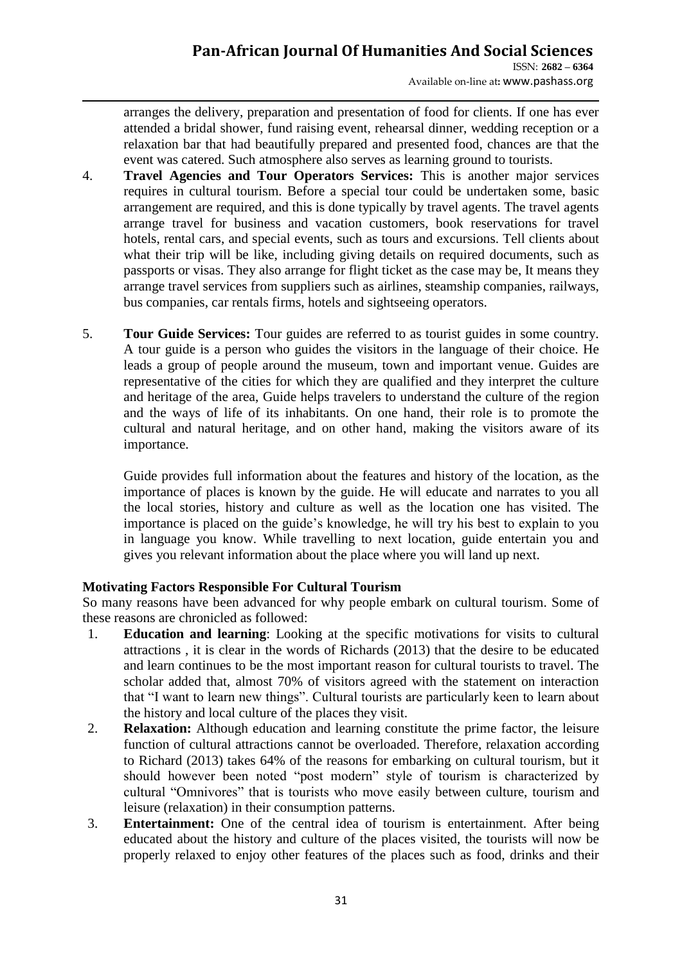Available on-line at**:** www.pashass.org

arranges the delivery, preparation and presentation of food for clients. If one has ever attended a bridal shower, fund raising event, rehearsal dinner, wedding reception or a relaxation bar that had beautifully prepared and presented food, chances are that the event was catered. Such atmosphere also serves as learning ground to tourists.

- 4. **Travel Agencies and Tour Operators Services:** This is another major services requires in cultural tourism. Before a special tour could be undertaken some, basic arrangement are required, and this is done typically by travel agents. The travel agents arrange travel for business and vacation customers, book reservations for travel hotels, rental cars, and special events, such as tours and excursions. Tell clients about what their trip will be like, including giving details on required documents, such as passports or visas. They also arrange for flight ticket as the case may be, It means they arrange travel services from suppliers such as airlines, steamship companies, railways, bus companies, car rentals firms, hotels and sightseeing operators.
- 5. **Tour Guide Services:** Tour guides are referred to as tourist guides in some country. A tour guide is a person who guides the visitors in the language of their choice. He leads a group of people around the museum, town and important venue. Guides are representative of the cities for which they are qualified and they interpret the culture and heritage of the area, Guide helps travelers to understand the culture of the region and the ways of life of its inhabitants. On one hand, their role is to promote the cultural and natural heritage, and on other hand, making the visitors aware of its importance.

Guide provides full information about the features and history of the location, as the importance of places is known by the guide. He will educate and narrates to you all the local stories, history and culture as well as the location one has visited. The importance is placed on the guide"s knowledge, he will try his best to explain to you in language you know. While travelling to next location, guide entertain you and gives you relevant information about the place where you will land up next.

### **Motivating Factors Responsible For Cultural Tourism**

So many reasons have been advanced for why people embark on cultural tourism. Some of these reasons are chronicled as followed:

- 1. **Education and learning**: Looking at the specific motivations for visits to cultural attractions , it is clear in the words of Richards (2013) that the desire to be educated and learn continues to be the most important reason for cultural tourists to travel. The scholar added that, almost 70% of visitors agreed with the statement on interaction that "I want to learn new things". Cultural tourists are particularly keen to learn about the history and local culture of the places they visit.
- 2. **Relaxation:** Although education and learning constitute the prime factor, the leisure function of cultural attractions cannot be overloaded. Therefore, relaxation according to Richard (2013) takes 64% of the reasons for embarking on cultural tourism, but it should however been noted "post modern" style of tourism is characterized by cultural "Omnivores" that is tourists who move easily between culture, tourism and leisure (relaxation) in their consumption patterns.
- 3. **Entertainment:** One of the central idea of tourism is entertainment. After being educated about the history and culture of the places visited, the tourists will now be properly relaxed to enjoy other features of the places such as food, drinks and their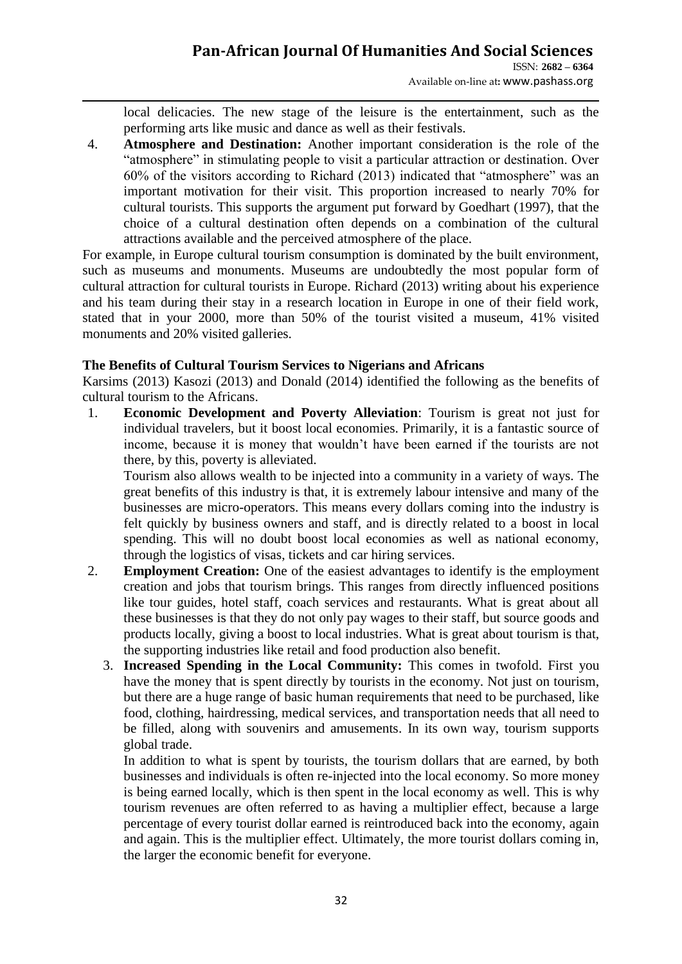local delicacies. The new stage of the leisure is the entertainment, such as the performing arts like music and dance as well as their festivals.

4. **Atmosphere and Destination:** Another important consideration is the role of the "atmosphere" in stimulating people to visit a particular attraction or destination. Over 60% of the visitors according to Richard (2013) indicated that "atmosphere" was an important motivation for their visit. This proportion increased to nearly 70% for cultural tourists. This supports the argument put forward by Goedhart (1997), that the choice of a cultural destination often depends on a combination of the cultural attractions available and the perceived atmosphere of the place.

For example, in Europe cultural tourism consumption is dominated by the built environment, such as museums and monuments. Museums are undoubtedly the most popular form of cultural attraction for cultural tourists in Europe. Richard (2013) writing about his experience and his team during their stay in a research location in Europe in one of their field work, stated that in your 2000, more than 50% of the tourist visited a museum, 41% visited monuments and 20% visited galleries.

### **The Benefits of Cultural Tourism Services to Nigerians and Africans**

Karsims (2013) Kasozi (2013) and Donald (2014) identified the following as the benefits of cultural tourism to the Africans.

1. **Economic Development and Poverty Alleviation**: Tourism is great not just for individual travelers, but it boost local economies. Primarily, it is a fantastic source of income, because it is money that wouldn"t have been earned if the tourists are not there, by this, poverty is alleviated.

Tourism also allows wealth to be injected into a community in a variety of ways. The great benefits of this industry is that, it is extremely labour intensive and many of the businesses are micro-operators. This means every dollars coming into the industry is felt quickly by business owners and staff, and is directly related to a boost in local spending. This will no doubt boost local economies as well as national economy, through the logistics of visas, tickets and car hiring services.

- 2. **Employment Creation:** One of the easiest advantages to identify is the employment creation and jobs that tourism brings. This ranges from directly influenced positions like tour guides, hotel staff, coach services and restaurants. What is great about all these businesses is that they do not only pay wages to their staff, but source goods and products locally, giving a boost to local industries. What is great about tourism is that, the supporting industries like retail and food production also benefit.
	- 3. **Increased Spending in the Local Community:** This comes in twofold. First you have the money that is spent directly by tourists in the economy. Not just on tourism, but there are a huge range of basic human requirements that need to be purchased, like food, clothing, hairdressing, medical services, and transportation needs that all need to be filled, along with souvenirs and amusements. In its own way, tourism supports global trade.

In addition to what is spent by tourists, the tourism dollars that are earned, by both businesses and individuals is often re-injected into the local economy. So more money is being earned locally, which is then spent in the local economy as well. This is why tourism revenues are often referred to as having a multiplier effect, because a large percentage of every tourist dollar earned is reintroduced back into the economy, again and again. This is the multiplier effect. Ultimately, the more tourist dollars coming in, the larger the economic benefit for everyone.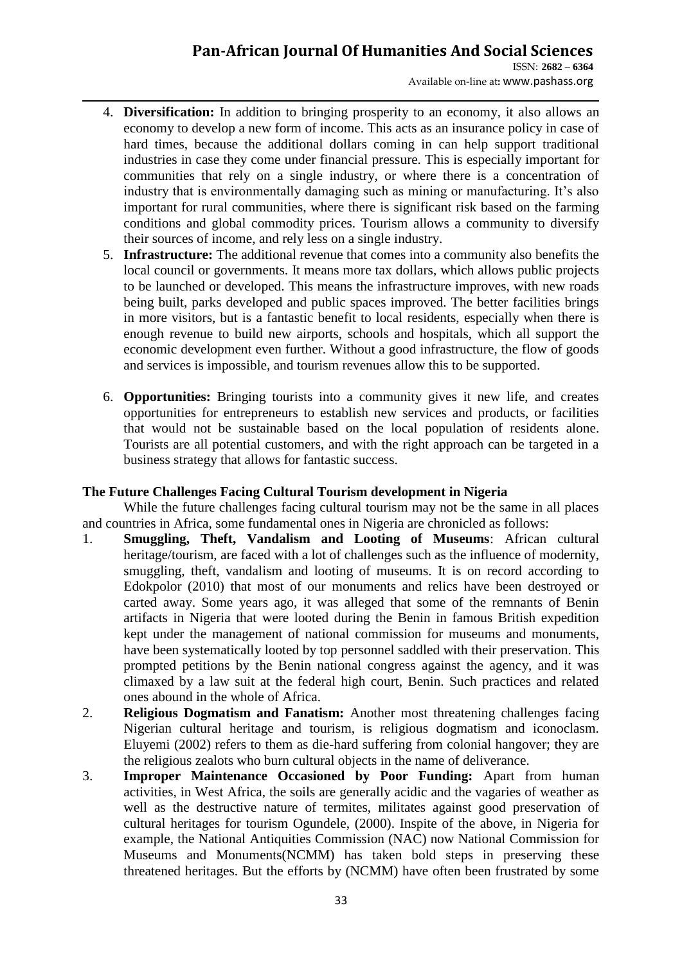ISSN: **2682 – 6364** Available on-line at**:** www.pashass.org

- 4. **Diversification:** In addition to bringing prosperity to an economy, it also allows an economy to develop a new form of income. This acts as an insurance policy in case of hard times, because the additional dollars coming in can help support traditional industries in case they come under financial pressure. This is especially important for communities that rely on a single industry, or where there is a concentration of industry that is environmentally damaging such as mining or manufacturing. It's also important for rural communities, where there is significant risk based on the farming conditions and global commodity prices. Tourism allows a community to diversify their sources of income, and rely less on a single industry.
- 5. **Infrastructure:** The additional revenue that comes into a community also benefits the local council or governments. It means more tax dollars, which allows public projects to be launched or developed. This means the infrastructure improves, with new roads being built, parks developed and public spaces improved. The better facilities brings in more visitors, but is a fantastic benefit to local residents, especially when there is enough revenue to build new airports, schools and hospitals, which all support the economic development even further. Without a good infrastructure, the flow of goods and services is impossible, and tourism revenues allow this to be supported.
- 6. **Opportunities:** Bringing tourists into a community gives it new life, and creates opportunities for entrepreneurs to establish new services and products, or facilities that would not be sustainable based on the local population of residents alone. Tourists are all potential customers, and with the right approach can be targeted in a business strategy that allows for fantastic success.

### **The Future Challenges Facing Cultural Tourism development in Nigeria**

While the future challenges facing cultural tourism may not be the same in all places and countries in Africa, some fundamental ones in Nigeria are chronicled as follows:

- 1. **Smuggling, Theft, Vandalism and Looting of Museums**: African cultural heritage/tourism, are faced with a lot of challenges such as the influence of modernity, smuggling, theft, vandalism and looting of museums. It is on record according to Edokpolor (2010) that most of our monuments and relics have been destroyed or carted away. Some years ago, it was alleged that some of the remnants of Benin artifacts in Nigeria that were looted during the Benin in famous British expedition kept under the management of national commission for museums and monuments, have been systematically looted by top personnel saddled with their preservation. This prompted petitions by the Benin national congress against the agency, and it was climaxed by a law suit at the federal high court, Benin. Such practices and related ones abound in the whole of Africa.
- 2. **Religious Dogmatism and Fanatism:** Another most threatening challenges facing Nigerian cultural heritage and tourism, is religious dogmatism and iconoclasm. Eluyemi (2002) refers to them as die-hard suffering from colonial hangover; they are the religious zealots who burn cultural objects in the name of deliverance.
- 3. **Improper Maintenance Occasioned by Poor Funding:** Apart from human activities, in West Africa, the soils are generally acidic and the vagaries of weather as well as the destructive nature of termites, militates against good preservation of cultural heritages for tourism Ogundele, (2000). Inspite of the above, in Nigeria for example, the National Antiquities Commission (NAC) now National Commission for Museums and Monuments(NCMM) has taken bold steps in preserving these threatened heritages. But the efforts by (NCMM) have often been frustrated by some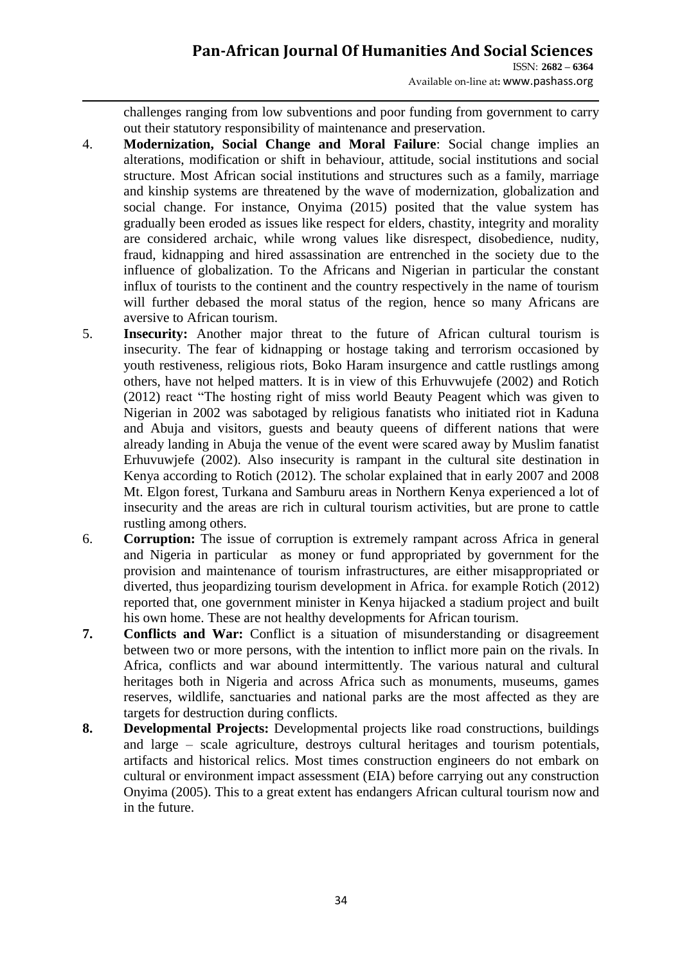ISSN: **2682 – 6364** Available on-line at**:** www.pashass.org

challenges ranging from low subventions and poor funding from government to carry out their statutory responsibility of maintenance and preservation.

- 4. **Modernization, Social Change and Moral Failure**: Social change implies an alterations, modification or shift in behaviour, attitude, social institutions and social structure. Most African social institutions and structures such as a family, marriage and kinship systems are threatened by the wave of modernization, globalization and social change. For instance, Onyima (2015) posited that the value system has gradually been eroded as issues like respect for elders, chastity, integrity and morality are considered archaic, while wrong values like disrespect, disobedience, nudity, fraud, kidnapping and hired assassination are entrenched in the society due to the influence of globalization. To the Africans and Nigerian in particular the constant influx of tourists to the continent and the country respectively in the name of tourism will further debased the moral status of the region, hence so many Africans are aversive to African tourism.
- 5. **Insecurity:** Another major threat to the future of African cultural tourism is insecurity. The fear of kidnapping or hostage taking and terrorism occasioned by youth restiveness, religious riots, Boko Haram insurgence and cattle rustlings among others, have not helped matters. It is in view of this Erhuvwujefe (2002) and Rotich (2012) react "The hosting right of miss world Beauty Peagent which was given to Nigerian in 2002 was sabotaged by religious fanatists who initiated riot in Kaduna and Abuja and visitors, guests and beauty queens of different nations that were already landing in Abuja the venue of the event were scared away by Muslim fanatist Erhuvuwjefe (2002). Also insecurity is rampant in the cultural site destination in Kenya according to Rotich (2012). The scholar explained that in early 2007 and 2008 Mt. Elgon forest, Turkana and Samburu areas in Northern Kenya experienced a lot of insecurity and the areas are rich in cultural tourism activities, but are prone to cattle rustling among others.
- 6. **Corruption:** The issue of corruption is extremely rampant across Africa in general and Nigeria in particular as money or fund appropriated by government for the provision and maintenance of tourism infrastructures, are either misappropriated or diverted, thus jeopardizing tourism development in Africa. for example Rotich (2012) reported that, one government minister in Kenya hijacked a stadium project and built his own home. These are not healthy developments for African tourism.
- **7. Conflicts and War:** Conflict is a situation of misunderstanding or disagreement between two or more persons, with the intention to inflict more pain on the rivals. In Africa, conflicts and war abound intermittently. The various natural and cultural heritages both in Nigeria and across Africa such as monuments, museums, games reserves, wildlife, sanctuaries and national parks are the most affected as they are targets for destruction during conflicts.
- **8. Developmental Projects:** Developmental projects like road constructions, buildings and large – scale agriculture, destroys cultural heritages and tourism potentials, artifacts and historical relics. Most times construction engineers do not embark on cultural or environment impact assessment (EIA) before carrying out any construction Onyima (2005). This to a great extent has endangers African cultural tourism now and in the future.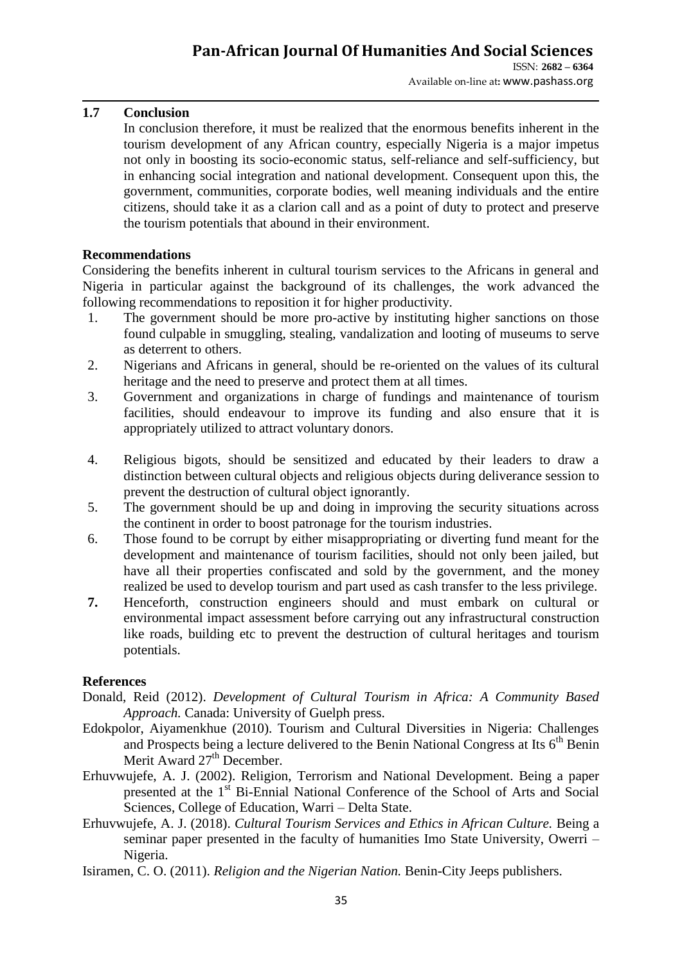### **1.7 Conclusion**

In conclusion therefore, it must be realized that the enormous benefits inherent in the tourism development of any African country, especially Nigeria is a major impetus not only in boosting its socio-economic status, self-reliance and self-sufficiency, but in enhancing social integration and national development. Consequent upon this, the government, communities, corporate bodies, well meaning individuals and the entire citizens, should take it as a clarion call and as a point of duty to protect and preserve the tourism potentials that abound in their environment.

### **Recommendations**

Considering the benefits inherent in cultural tourism services to the Africans in general and Nigeria in particular against the background of its challenges, the work advanced the following recommendations to reposition it for higher productivity.

- 1. The government should be more pro-active by instituting higher sanctions on those found culpable in smuggling, stealing, vandalization and looting of museums to serve as deterrent to others.
- 2. Nigerians and Africans in general, should be re-oriented on the values of its cultural heritage and the need to preserve and protect them at all times.
- 3. Government and organizations in charge of fundings and maintenance of tourism facilities, should endeavour to improve its funding and also ensure that it is appropriately utilized to attract voluntary donors.
- 4. Religious bigots, should be sensitized and educated by their leaders to draw a distinction between cultural objects and religious objects during deliverance session to prevent the destruction of cultural object ignorantly.
- 5. The government should be up and doing in improving the security situations across the continent in order to boost patronage for the tourism industries.
- 6. Those found to be corrupt by either misappropriating or diverting fund meant for the development and maintenance of tourism facilities, should not only been jailed, but have all their properties confiscated and sold by the government, and the money realized be used to develop tourism and part used as cash transfer to the less privilege.
- **7.** Henceforth, construction engineers should and must embark on cultural or environmental impact assessment before carrying out any infrastructural construction like roads, building etc to prevent the destruction of cultural heritages and tourism potentials.

### **References**

- Donald, Reid (2012). *Development of Cultural Tourism in Africa: A Community Based Approach.* Canada: University of Guelph press.
- Edokpolor, Aiyamenkhue (2010). Tourism and Cultural Diversities in Nigeria: Challenges and Prospects being a lecture delivered to the Benin National Congress at Its  $6<sup>th</sup>$  Benin Merit Award  $27<sup>th</sup>$  December.
- Erhuvwujefe, A. J. (2002). Religion, Terrorism and National Development. Being a paper presented at the 1<sup>st</sup> Bi-Ennial National Conference of the School of Arts and Social Sciences, College of Education, Warri – Delta State.
- Erhuvwujefe, A. J. (2018). *Cultural Tourism Services and Ethics in African Culture.* Being a seminar paper presented in the faculty of humanities Imo State University, Owerri – Nigeria.
- Isiramen, C. O. (2011). *Religion and the Nigerian Nation.* Benin-City Jeeps publishers.